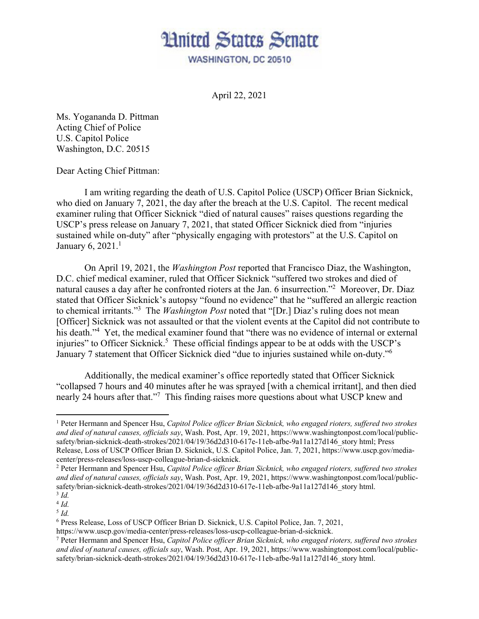

April 22, 2021

Ms. Yogananda D. Pittman Acting Chief of Police U.S. Capitol Police Washington, D.C. 20515

Dear Acting Chief Pittman:

 I am writing regarding the death of U.S. Capitol Police (USCP) Officer Brian Sicknick, who died on January 7, 2021, the day after the breach at the U.S. Capitol. The recent medical examiner ruling that Officer Sicknick "died of natural causes" raises questions regarding the USCP's press release on January 7, 2021, that stated Officer Sicknick died from "injuries sustained while on-duty" after "physically engaging with protestors" at the U.S. Capitol on January 6, 2021. $<sup>1</sup>$ </sup>

On April 19, 2021, the *Washington Post* reported that Francisco Diaz, the Washington, D.C. chief medical examiner, ruled that Officer Sicknick "suffered two strokes and died of natural causes a day after he confronted rioters at the Jan. 6 insurrection."<sup>2</sup> Moreover, Dr. Diaz stated that Officer Sicknick's autopsy "found no evidence" that he "suffered an allergic reaction to chemical irritants."3 The *Washington Post* noted that "[Dr.] Diaz's ruling does not mean [Officer] Sicknick was not assaulted or that the violent events at the Capitol did not contribute to his death."<sup>4</sup> Yet, the medical examiner found that "there was no evidence of internal or external injuries" to Officer Sicknick.<sup>5</sup> These official findings appear to be at odds with the USCP's January 7 statement that Officer Sicknick died "due to injuries sustained while on-duty."<sup>6</sup>

Additionally, the medical examiner's office reportedly stated that Officer Sicknick "collapsed 7 hours and 40 minutes after he was sprayed [with a chemical irritant], and then died nearly 24 hours after that."<sup>7</sup> This finding raises more questions about what USCP knew and

<sup>&</sup>lt;sup>1</sup> Peter Hermann and Spencer Hsu, *Capitol Police officer Brian Sicknick*, who engaged rioters, suffered two strokes *and died of natural causes, officials say*, Wash. Post, Apr. 19, 2021, https://www.washingtonpost.com/local/publicsafety/brian-sicknick-death-strokes/2021/04/19/36d2d310-617e-11eb-afbe-9a11a127d146 story html; Press Release, Loss of USCP Officer Brian D. Sicknick, U.S. Capitol Police, Jan. 7, 2021, https://www.uscp.gov/mediacenter/press-releases/loss-uscp-colleague-brian-d-sicknick. 2

Peter Hermann and Spencer Hsu, *Capitol Police officer Brian Sicknick, who engaged rioters, suffered two strokes and died of natural causes, officials say*, Wash. Post, Apr. 19, 2021, https://www.washingtonpost.com/local/publicsafety/brian-sicknick-death-strokes/2021/04/19/36d2d310-617e-11eb-afbe-9a11a127d146\_story html.

<sup>3</sup> *Id.* 

 $4$   $Id.$ 

 $^5$  *Id.* 

<sup>6</sup> Press Release, Loss of USCP Officer Brian D. Sicknick, U.S. Capitol Police, Jan. 7, 2021,

https://www.uscp.gov/media-center/press-releases/loss-uscp-colleague-brian-d-sicknick. 7

Peter Hermann and Spencer Hsu, *Capitol Police officer Brian Sicknick, who engaged rioters, suffered two strokes and died of natural causes, officials say*, Wash. Post, Apr. 19, 2021, https://www.washingtonpost.com/local/publicsafety/brian-sicknick-death-strokes/2021/04/19/36d2d310-617e-11eb-afbe-9a11a127d146\_story html.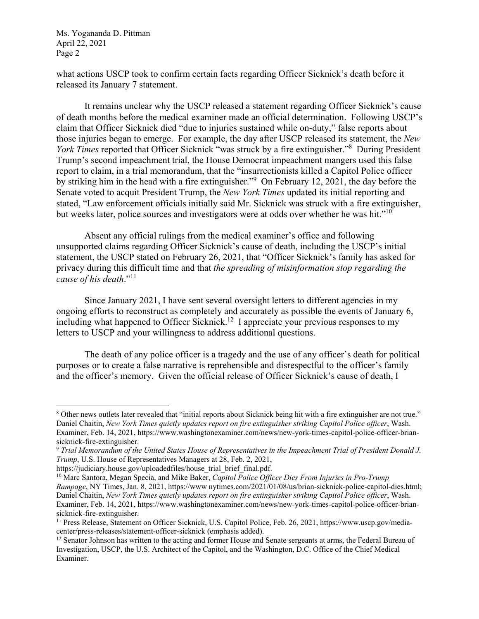Ms. Yogananda D. Pittman April 22, 2021 Page 2

what actions USCP took to confirm certain facts regarding Officer Sicknick's death before it released its January 7 statement.

It remains unclear why the USCP released a statement regarding Officer Sicknick's cause of death months before the medical examiner made an official determination. Following USCP's claim that Officer Sicknick died "due to injuries sustained while on-duty," false reports about those injuries began to emerge. For example, the day after USCP released its statement, the *New*  York Times reported that Officer Sicknick "was struck by a fire extinguisher."<sup>8</sup> During President Trump's second impeachment trial, the House Democrat impeachment mangers used this false report to claim, in a trial memorandum, that the "insurrectionists killed a Capitol Police officer by striking him in the head with a fire extinguisher."<sup>9</sup> On February 12, 2021, the day before the Senate voted to acquit President Trump, the *New York Times* updated its initial reporting and stated, "Law enforcement officials initially said Mr. Sicknick was struck with a fire extinguisher, but weeks later, police sources and investigators were at odds over whether he was hit."<sup>10</sup>

Absent any official rulings from the medical examiner's office and following unsupported claims regarding Officer Sicknick's cause of death, including the USCP's initial statement, the USCP stated on February 26, 2021, that "Officer Sicknick's family has asked for privacy during this difficult time and that *the spreading of misinformation stop regarding the cause of his death*."11

Since January 2021, I have sent several oversight letters to different agencies in my ongoing efforts to reconstruct as completely and accurately as possible the events of January 6, including what happened to Officer Sicknick.<sup>12</sup> I appreciate your previous responses to my letters to USCP and your willingness to address additional questions.

The death of any police officer is a tragedy and the use of any officer's death for political purposes or to create a false narrative is reprehensible and disrespectful to the officer's family and the officer's memory. Given the official release of Officer Sicknick's cause of death, I

<sup>&</sup>lt;sup>8</sup> Other news outlets later revealed that "initial reports about Sicknick being hit with a fire extinguisher are not true." Daniel Chaitin, *New York Times quietly updates report on fire extinguisher striking Capitol Police officer*, Wash. Examiner, Feb. 14, 2021, https://www.washingtonexaminer.com/news/new-york-times-capitol-police-officer-briansicknick-fire-extinguisher.

<sup>9</sup> *Trial Memorandum of the United States House of Representatives in the Impeachment Trial of President Donald J. Trump*, U.S. House of Representatives Managers at 28, Feb. 2, 2021,

https://judiciary.house.gov/uploadedfiles/house\_trial\_brief\_final.pdf.

<sup>&</sup>lt;sup>10</sup> Marc Santora, Megan Specia, and Mike Baker, *Capitol Police Officer Dies From Injuries in Pro-Trump Rampage*, NY Times, Jan. 8, 2021, https://www nytimes.com/2021/01/08/us/brian-sicknick-police-capitol-dies.html; Daniel Chaitin, *New York Times quietly updates report on fire extinguisher striking Capitol Police officer*, Wash. Examiner, Feb. 14, 2021, https://www.washingtonexaminer.com/news/new-york-times-capitol-police-officer-briansicknick-fire-extinguisher.

<sup>11</sup> Press Release, Statement on Officer Sicknick, U.S. Capitol Police, Feb. 26, 2021, https://www.uscp.gov/mediacenter/press-releases/statement-officer-sicknick (emphasis added). 12 Senator Johnson has written to the acting and former House and Senate sergeants at arms, the Federal Bureau of

Investigation, USCP, the U.S. Architect of the Capitol, and the Washington, D.C. Office of the Chief Medical Examiner.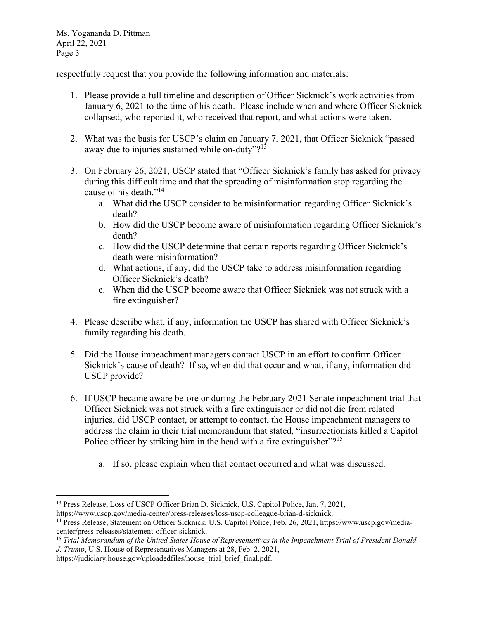Ms. Yogananda D. Pittman April 22, 2021 Page 3

respectfully request that you provide the following information and materials:

- 1. Please provide a full timeline and description of Officer Sicknick's work activities from January 6, 2021 to the time of his death. Please include when and where Officer Sicknick collapsed, who reported it, who received that report, and what actions were taken.
- 2. What was the basis for USCP's claim on January 7, 2021, that Officer Sicknick "passed away due to injuries sustained while on-duty"?<sup>13</sup>
- 3. On February 26, 2021, USCP stated that "Officer Sicknick's family has asked for privacy during this difficult time and that the spreading of misinformation stop regarding the cause of his death."<sup>14</sup>
	- a. What did the USCP consider to be misinformation regarding Officer Sicknick's death?
	- b. How did the USCP become aware of misinformation regarding Officer Sicknick's death?
	- c. How did the USCP determine that certain reports regarding Officer Sicknick's death were misinformation?
	- d. What actions, if any, did the USCP take to address misinformation regarding Officer Sicknick's death?
	- e. When did the USCP become aware that Officer Sicknick was not struck with a fire extinguisher?
- 4. Please describe what, if any, information the USCP has shared with Officer Sicknick's family regarding his death.
- 5. Did the House impeachment managers contact USCP in an effort to confirm Officer Sicknick's cause of death? If so, when did that occur and what, if any, information did USCP provide?
- 6. If USCP became aware before or during the February 2021 Senate impeachment trial that Officer Sicknick was not struck with a fire extinguisher or did not die from related injuries, did USCP contact, or attempt to contact, the House impeachment managers to address the claim in their trial memorandum that stated, "insurrectionists killed a Capitol Police officer by striking him in the head with a fire extinguisher"?<sup>15</sup>
	- a. If so, please explain when that contact occurred and what was discussed.

<sup>&</sup>lt;sup>13</sup> Press Release, Loss of USCP Officer Brian D. Sicknick, U.S. Capitol Police, Jan. 7, 2021, https://www.uscp.gov/media-center/press-releases/loss-uscp-colleague-brian-d-sicknick.

<sup>&</sup>lt;sup>14</sup> Press Release, Statement on Officer Sicknick, U.S. Capitol Police, Feb. 26, 2021, https://www.uscp.gov/mediacenter/press-releases/statement-officer-sicknick.

<sup>15</sup> *Trial Memorandum of the United States House of Representatives in the Impeachment Trial of President Donald J. Trump*, U.S. House of Representatives Managers at 28, Feb. 2, 2021,

https://judiciary.house.gov/uploadedfiles/house\_trial\_brief\_final.pdf.